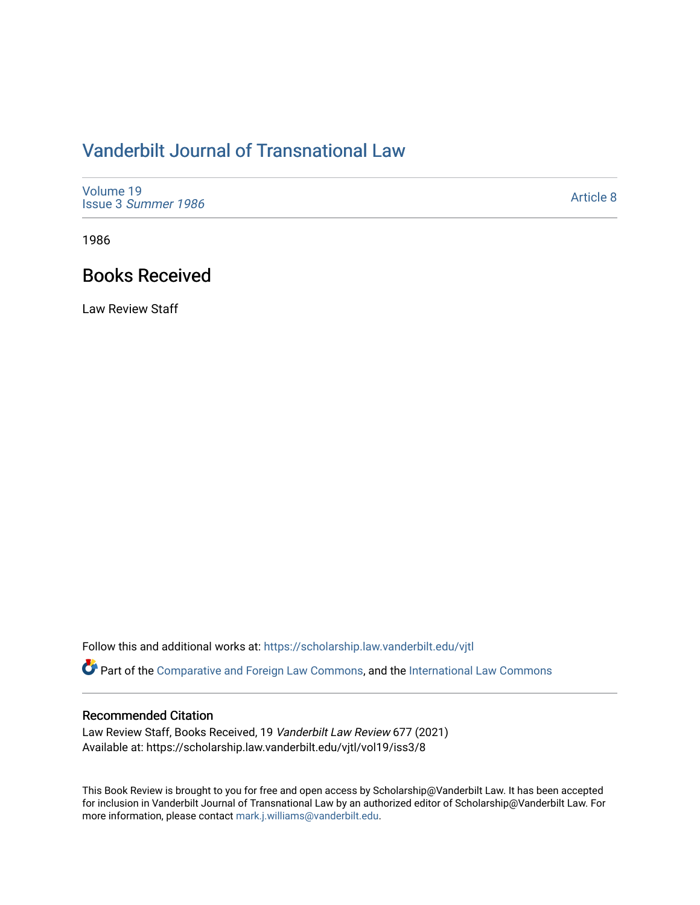## [Vanderbilt Journal of Transnational Law](https://scholarship.law.vanderbilt.edu/vjtl)

| Volume 19<br>Issue 3 Summer 1986 | Article 8 |
|----------------------------------|-----------|
|----------------------------------|-----------|

1986

## Books Received

Law Review Staff

Follow this and additional works at: [https://scholarship.law.vanderbilt.edu/vjtl](https://scholarship.law.vanderbilt.edu/vjtl?utm_source=scholarship.law.vanderbilt.edu%2Fvjtl%2Fvol19%2Fiss3%2F8&utm_medium=PDF&utm_campaign=PDFCoverPages) 

Part of the [Comparative and Foreign Law Commons,](http://network.bepress.com/hgg/discipline/836?utm_source=scholarship.law.vanderbilt.edu%2Fvjtl%2Fvol19%2Fiss3%2F8&utm_medium=PDF&utm_campaign=PDFCoverPages) and the [International Law Commons](http://network.bepress.com/hgg/discipline/609?utm_source=scholarship.law.vanderbilt.edu%2Fvjtl%2Fvol19%2Fiss3%2F8&utm_medium=PDF&utm_campaign=PDFCoverPages)

## Recommended Citation

Law Review Staff, Books Received, 19 Vanderbilt Law Review 677 (2021) Available at: https://scholarship.law.vanderbilt.edu/vjtl/vol19/iss3/8

This Book Review is brought to you for free and open access by Scholarship@Vanderbilt Law. It has been accepted for inclusion in Vanderbilt Journal of Transnational Law by an authorized editor of Scholarship@Vanderbilt Law. For more information, please contact [mark.j.williams@vanderbilt.edu](mailto:mark.j.williams@vanderbilt.edu).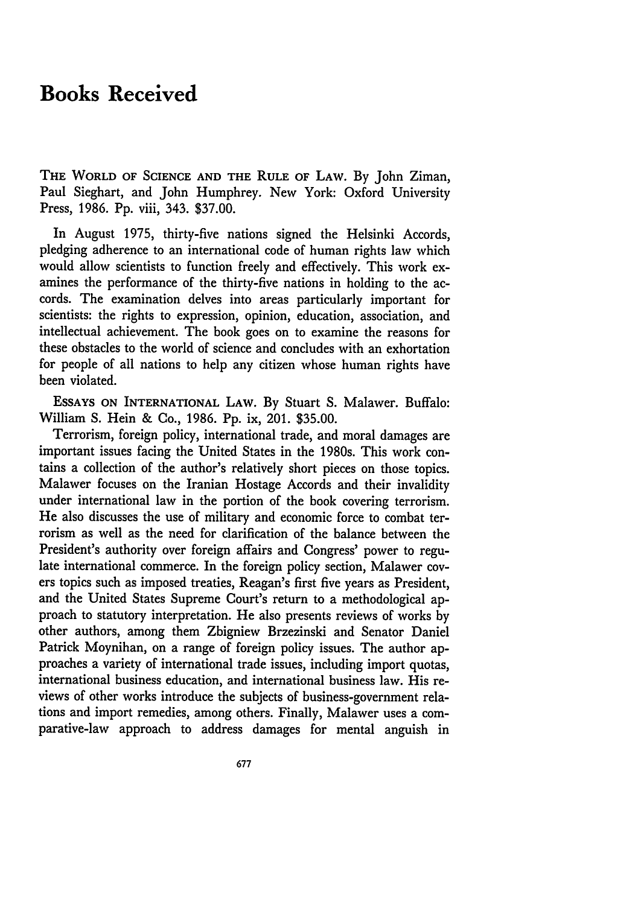## **Books Received**

THE WORLD OF **SCIENCE AND** THE RULE OF LAW. By John Ziman, Paul Sieghart, and John Humphrey. New York: Oxford University Press, 1986. Pp. viii, 343. \$37.00.

In August 1975, thirty-five nations signed the Helsinki Accords, pledging adherence to an international code of human rights law which would allow scientists to function freely and effectively. This work examines the performance of the thirty-five nations in holding to the accords. The examination delves into areas particularly important for scientists: the rights to expression, opinion, education, association, and intellectual achievement. The book goes on to examine the reasons for these obstacles to the world of science and concludes with an exhortation for people of all nations to help any citizen whose human rights have been violated.

**ESSAYS ON** INTERNATIONAL LAW. By Stuart **S.** Malawer. Buffalo: William S. Hein & Co., 1986. Pp. ix, 201. \$35.00.

Terrorism, foreign policy, international trade, and moral damages are important issues facing the United States in the 1980s. This work contains a collection of the author's relatively short pieces on those topics. Malawer focuses on the Iranian Hostage Accords and their invalidity under international law in the portion of the book covering terrorism. He also discusses the use of military and economic force to combat terrorism as well as the need for clarification of the balance between the President's authority over foreign affairs and Congress' power to regulate international commerce. In the foreign policy section, Malawer covers topics such as imposed treaties, Reagan's first five years as President, and the United States Supreme Court's return to a methodological approach to statutory interpretation. He also presents reviews of works by other authors, among them Zbigniew Brzezinski and Senator Daniel Patrick Moynihan, on a range of foreign policy issues. The author approaches a variety of international trade issues, including import quotas, international business education, and international business law. His reviews of other works introduce the subjects of business-government relations and import remedies, among others. Finally, Malawer uses a comparative-law approach to address damages for mental anguish in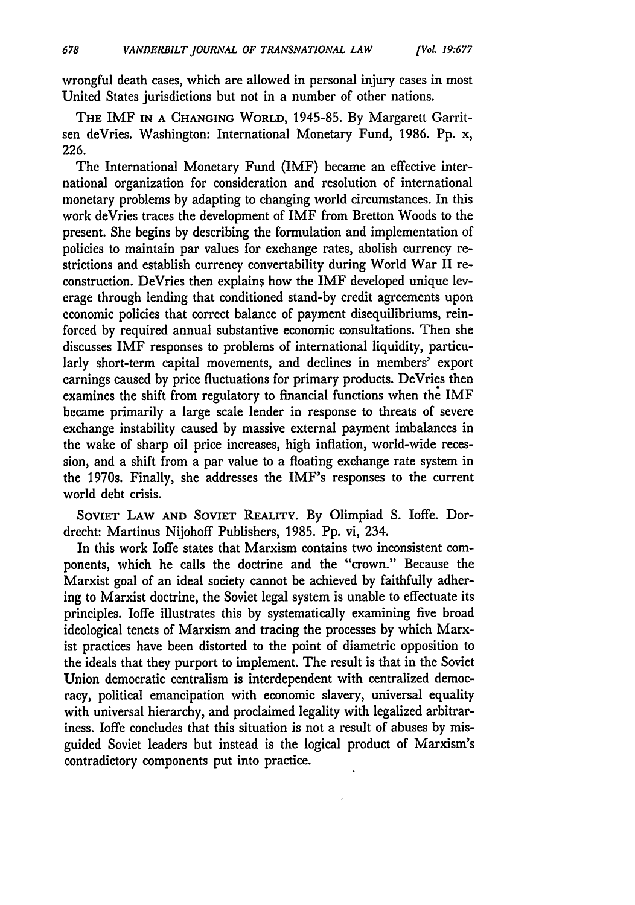wrongful death cases, which are allowed in personal injury cases in most United States jurisdictions but not in a number of other nations.

**THE** IMF **IN A CHANGING** WORLD, 1945-85. By Margarett Garritsen deVries. Washington: International Monetary Fund, 1986. Pp. x, 226.

The International Monetary Fund (IMF) became an effective international organization for consideration and resolution of international monetary problems by adapting to changing world circumstances. In this work deVries traces the development of IMF from Bretton Woods to the present. She begins by describing the formulation and implementation of policies to maintain par values for exchange rates, abolish currency restrictions and establish currency convertability during World War II reconstruction. DeVries then explains how the IMF developed unique leverage through lending that conditioned stand-by credit agreements upon economic policies that correct balance of payment disequilibriums, reinforced by required annual substantive economic consultations. Then she discusses IMF responses to problems of international liquidity, particularly short-term capital movements, and declines in members' export earnings caused by price fluctuations for primary products. DeVries then examines the shift from regulatory to financial functions when the IMF became primarily a large scale lender in response to threats of severe exchange instability caused by massive external payment imbalances in the wake of sharp oil price increases, high inflation, world-wide recession, and a shift from a par value to a floating exchange rate system in the 1970s. Finally, she addresses the IMF's responses to the current world debt crisis.

**SOVIET** LAW **AND SOVIET REALITY.** By Olimpiad S. Ioffe. Dordrecht: Martinus Nijohoff Publishers, 1985. Pp. vi, 234.

In this work Ioffe states that Marxism contains two inconsistent components, which he calls the doctrine and the "crown." Because the Marxist goal of an ideal society cannot be achieved by faithfully adhering to Marxist doctrine, the Soviet legal system is unable to effectuate its principles. loffe illustrates this by systematically examining five broad ideological tenets of Marxism and tracing the processes by which Marxist practices have been distorted to the point of diametric opposition to the ideals that they purport to implement. The result is that in the Soviet Union democratic centralism is interdependent with centralized democracy, political emancipation with economic slavery, universal equality with universal hierarchy, and proclaimed legality with legalized arbitrariness. loffe concludes that this situation is not a result of abuses by misguided Soviet leaders but instead is the logical product of Marxism's contradictory components put into practice.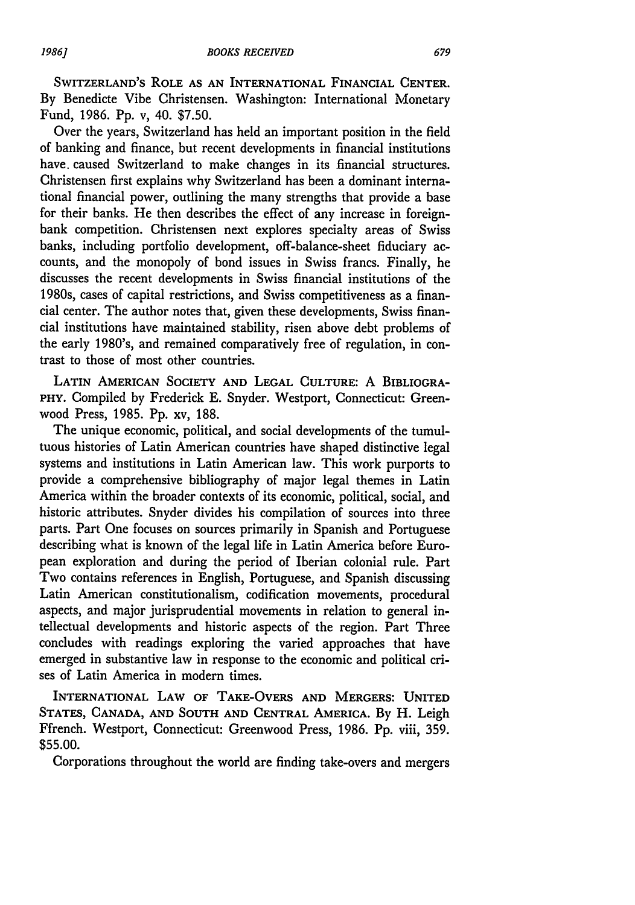SWITZERLAND'S ROLE **AS AN** INTERNATIONAL FINANCIAL **CENTER.** By Benedicte Vibe Christensen. Washington: International Monetary Fund, 1986. Pp. v, 40. \$7.50.

Over the years, Switzerland has held an important position in the field of banking and finance, but recent developments in financial institutions have. caused Switzerland to make changes in its financial structures. Christensen first explains why Switzerland has been a dominant international financial power, outlining the many strengths that provide a base for their banks. He then describes the effect of any increase in foreignbank competition. Christensen next explores specialty areas of Swiss banks, including portfolio development, off-balance-sheet fiduciary accounts, and the monopoly of bond issues in Swiss francs. Finally, he discusses the recent developments in Swiss financial institutions of the 1980s, cases of capital restrictions, and Swiss competitiveness as a financial center. The author notes that, given these developments, Swiss financial institutions have maintained stability, risen above debt problems of the early 1980's, and remained comparatively free of regulation, in contrast to those of most other countries.

**LATIN AMERICAN SOCIETY AND LEGAL CULTURE:** A BIBLIOGRA-PHY. Compiled by Frederick E. Snyder. Westport, Connecticut: Greenwood Press, 1985. Pp. xv, 188.

The unique economic, political, and social developments of the tumultuous histories of Latin American countries have shaped distinctive legal systems and institutions in Latin American law. This work purports to provide a comprehensive bibliography of major legal themes in Latin America within the broader contexts of its economic, political, social, and historic attributes. Snyder divides his compilation of sources into three parts. Part One focuses on sources primarily in Spanish and Portuguese describing what is known of the legal life in Latin America before European exploration and during the period of Iberian colonial rule. Part Two contains references in English, Portuguese, and Spanish discussing Latin American constitutionalism, codification movements, procedural aspects, and major jurisprudential movements in relation to general intellectual developments and historic aspects of the region. Part Three concludes with readings exploring the varied approaches that have emerged in substantive law in response to the economic and political crises of Latin America in modern times.

**INTERNATIONAL LAW OF TAKE-OVERS AND MERGERS: UNITED STATES, CANADA, AND SOUTH AND CENTRAL** AMERICA. By H. Leigh Ffrench. Westport, Connecticut: Greenwood Press, 1986. Pp. viii, 359. \$55.00.

Corporations throughout the world are finding take-overs and mergers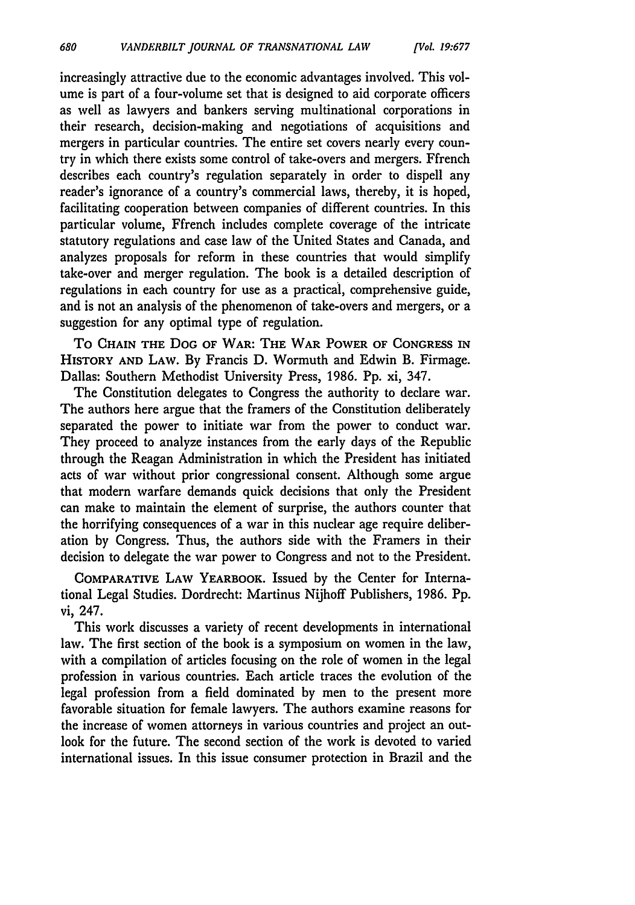680

increasingly attractive due to the economic advantages involved. This volume is part of a four-volume set that is designed to aid corporate officers as well as lawyers and bankers serving multinational corporations in their research, decision-making and negotiations of acquisitions and mergers in particular countries. The entire set covers nearly every country in which there exists some control of take-overs and mergers. Ffrench describes each country's regulation separately in order to dispell any reader's ignorance of a country's commercial laws, thereby, it is hoped, facilitating cooperation between companies of different countries. In this particular volume, Ffrench includes complete coverage of the intricate statutory regulations and case law of the United States and Canada, and analyzes proposals for reform in these countries that would simplify take-over and merger regulation. The book is a detailed description of regulations in each country for use as a practical, comprehensive guide, and is not an analysis of the phenomenon of take-overs and mergers, or a suggestion for any optimal type of regulation.

To **CHAIN THE DOG** OF **WAR: THE WAR** POWER OF **CONGRESS IN HISTORY AND** LAW. **By** Francis D. Wormuth and Edwin B. Firmage. Dallas: Southern Methodist University Press, 1986. Pp. xi, 347.

The Constitution delegates to Congress the authority to declare war. The authors here argue that the framers of the Constitution deliberately separated the power to initiate war from the power to conduct war. They proceed to analyze instances from the early days of the Republic through the Reagan Administration in which the President has initiated acts of war without prior congressional consent. Although some argue that modern warfare demands quick decisions that only the President can make to maintain the element of surprise, the authors counter that the horrifying consequences of a war in this nuclear age require deliberation by Congress. Thus, the authors side with the Framers in their decision to delegate the war power to Congress and not to the President.

COMPARATIVE LAW YEARBOOK. Issued **by** the Center for International Legal Studies. Dordrecht: Martinus Nijhoff Publishers, 1986. Pp. vi, 247.

This work discusses a variety of recent developments in international law. The first section of the book is a symposium on women in the law, with a compilation of articles focusing on the role of women in the legal profession in various countries. Each article traces the evolution of the legal profession from a field dominated by men to the present more favorable situation for female lawyers. The authors examine reasons for the increase of women attorneys in various countries and project an outlook for the future. The second section of the work is devoted to varied international issues. In this issue consumer protection in Brazil and the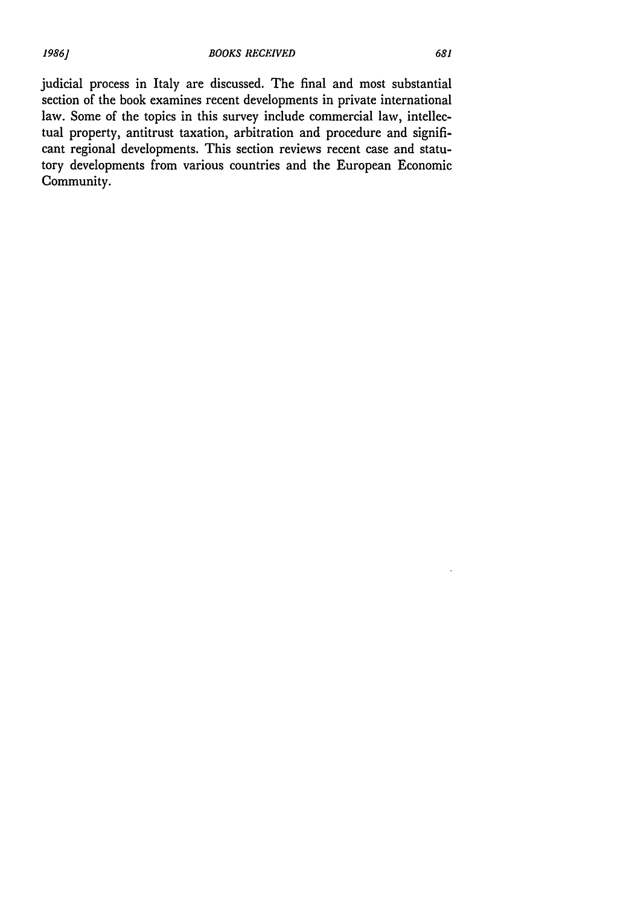judicial process in Italy are discussed. The final and most substantial section of the book examines recent developments in private international law. Some of the topics in this survey include commercial law, intellectual property, antitrust taxation, arbitration and procedure and significant regional developments. This section reviews recent case and statutory developments from various countries and the European Economic Community.